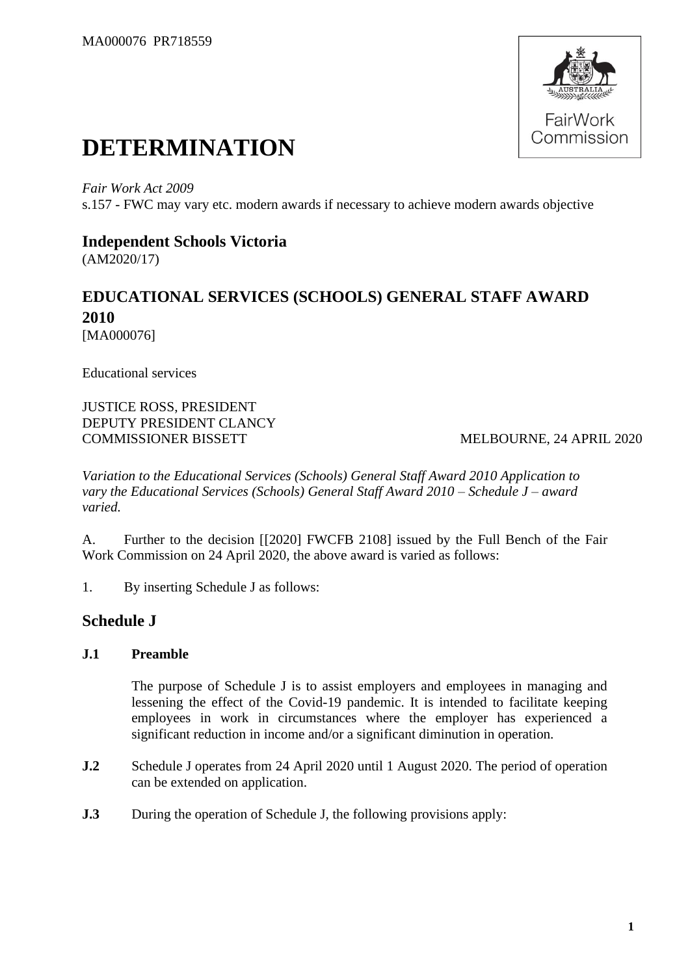

# **DETERMINATION**

*Fair Work Act 2009* s.157 - FWC may vary etc. modern awards if necessary to achieve modern awards objective

## **Independent Schools Victoria**

(AM2020/17)

# **EDUCATIONAL SERVICES (SCHOOLS) GENERAL STAFF AWARD 2010** [MA000076]

Educational services

JUSTICE ROSS, PRESIDENT DEPUTY PRESIDENT CLANCY COMMISSIONER BISSETT MELBOURNE, 24 APRIL 2020

*Variation to the Educational Services (Schools) General Staff Award 2010 Application to vary the Educational Services (Schools) General Staff Award 2010 – Schedule J – award varied.*

A. Further to the decision [[2020] FWCFB 2108] issued by the Full Bench of the Fair Work Commission on 24 April 2020, the above award is varied as follows:

1. By inserting Schedule J as follows:

# **Schedule J**

### **J.1 Preamble**

The purpose of Schedule J is to assist employers and employees in managing and lessening the effect of the Covid-19 pandemic. It is intended to facilitate keeping employees in work in circumstances where the employer has experienced a significant reduction in income and/or a significant diminution in operation.

- **J.2** Schedule J operates from 24 April 2020 until 1 August 2020. The period of operation can be extended on application.
- **J.3** During the operation of Schedule J, the following provisions apply: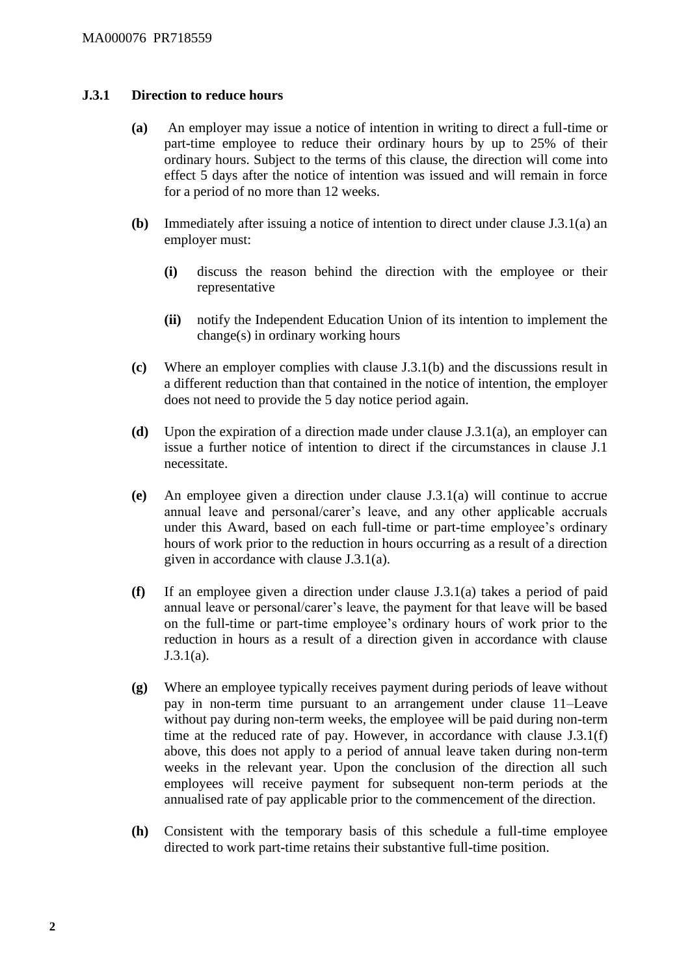#### **J.3.1 Direction to reduce hours**

- **(a)** An employer may issue a notice of intention in writing to direct a full-time or part-time employee to reduce their ordinary hours by up to 25% of their ordinary hours. Subject to the terms of this clause, the direction will come into effect 5 days after the notice of intention was issued and will remain in force for a period of no more than 12 weeks.
- **(b)** Immediately after issuing a notice of intention to direct under clause J.3.1(a) an employer must:
	- **(i)** discuss the reason behind the direction with the employee or their representative
	- **(ii)** notify the Independent Education Union of its intention to implement the change(s) in ordinary working hours
- **(c)** Where an employer complies with clause J.3.1(b) and the discussions result in a different reduction than that contained in the notice of intention, the employer does not need to provide the 5 day notice period again.
- **(d)** Upon the expiration of a direction made under clause J.3.1(a), an employer can issue a further notice of intention to direct if the circumstances in clause J.1 necessitate.
- **(e)** An employee given a direction under clause J.3.1(a) will continue to accrue annual leave and personal/carer's leave, and any other applicable accruals under this Award, based on each full-time or part-time employee's ordinary hours of work prior to the reduction in hours occurring as a result of a direction given in accordance with clause J.3.1(a).
- **(f)** If an employee given a direction under clause J.3.1(a) takes a period of paid annual leave or personal/carer's leave, the payment for that leave will be based on the full-time or part-time employee's ordinary hours of work prior to the reduction in hours as a result of a direction given in accordance with clause J.3.1(a).
- **(g)** Where an employee typically receives payment during periods of leave without pay in non-term time pursuant to an arrangement under clause 11–Leave without pay during non-term weeks, the employee will be paid during non-term time at the reduced rate of pay. However, in accordance with clause J.3.1(f) above, this does not apply to a period of annual leave taken during non-term weeks in the relevant year. Upon the conclusion of the direction all such employees will receive payment for subsequent non-term periods at the annualised rate of pay applicable prior to the commencement of the direction.
- **(h)** Consistent with the temporary basis of this schedule a full-time employee directed to work part-time retains their substantive full-time position.